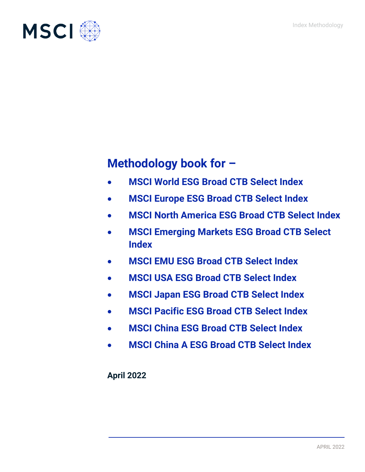

# **Methodology book for –**

- **MSCI World ESG Broad CTB Select Index**
- **MSCI Europe ESG Broad CTB Select Index**
- **MSCI North America ESG Broad CTB Select Index**
- **MSCI Emerging Markets ESG Broad CTB Select Index**
- **MSCI EMU ESG Broad CTB Select Index**
- **MSCI USA ESG Broad CTB Select Index**
- **MSCI Japan ESG Broad CTB Select Index**
- **MSCI Pacific ESG Broad CTB Select Index**
- **MSCI China ESG Broad CTB Select Index**
- **MSCI China A ESG Broad CTB Select Index**

**April 2022**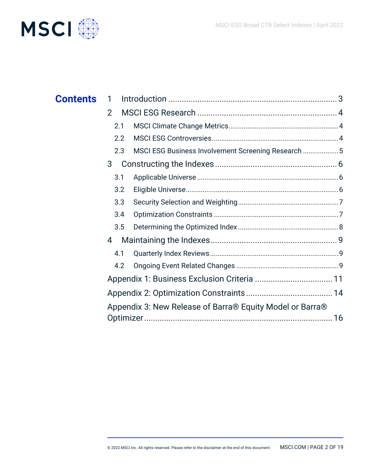

| <b>Contents</b> | 1             |                                                          |  |
|-----------------|---------------|----------------------------------------------------------|--|
|                 | $\mathcal{P}$ |                                                          |  |
|                 | 2.1           |                                                          |  |
|                 | 2.2           |                                                          |  |
|                 | 2.3           | MSCI ESG Business Involvement Screening Research 5       |  |
|                 | 3             |                                                          |  |
|                 | 3.1           |                                                          |  |
|                 | 3.2           |                                                          |  |
|                 | 3.3           |                                                          |  |
|                 | 3.4           |                                                          |  |
|                 | 3.5           |                                                          |  |
|                 | 4             |                                                          |  |
|                 | 4.1           |                                                          |  |
|                 | 4.2           |                                                          |  |
|                 |               |                                                          |  |
|                 |               |                                                          |  |
|                 |               | Appendix 3: New Release of Barra® Equity Model or Barra® |  |
|                 |               |                                                          |  |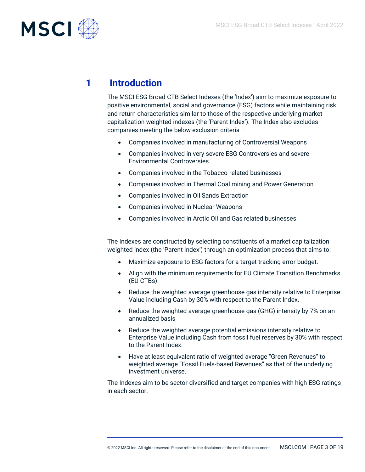

# **1 Introduction**

The MSCI ESG Broad CTB Select Indexes (the 'Index') aim to maximize exposure to positive environmental, social and governance (ESG) factors while maintaining risk and return characteristics similar to those of the respective underlying market capitalization weighted indexes (the 'Parent Index'). The Index also excludes companies meeting the below exclusion criteria –

- Companies involved in manufacturing of Controversial Weapons
- Companies involved in very severe ESG Controversies and severe Environmental Controversies
- Companies involved in the Tobacco-related businesses
- Companies involved in Thermal Coal mining and Power Generation
- Companies involved in Oil Sands Extraction
- Companies involved in Nuclear Weapons
- Companies involved in Arctic Oil and Gas related businesses

The Indexes are constructed by selecting constituents of a market capitalization weighted index (the 'Parent Index') through an optimization process that aims to:

- Maximize exposure to ESG factors for a target tracking error budget.
- Align with the minimum requirements for EU Climate Transition Benchmarks (EU CTBs)
- Reduce the weighted average greenhouse gas intensity relative to Enterprise Value including Cash by 30% with respect to the Parent Index.
- Reduce the weighted average greenhouse gas (GHG) intensity by 7% on an annualized basis
- Reduce the weighted average potential emissions intensity relative to Enterprise Value including Cash from fossil fuel reserves by 30% with respect to the Parent Index.
- Have at least equivalent ratio of weighted average "Green Revenues" to weighted average "Fossil Fuels-based Revenues" as that of the underlying investment universe.

The Indexes aim to be sector-diversified and target companies with high ESG ratings in each sector.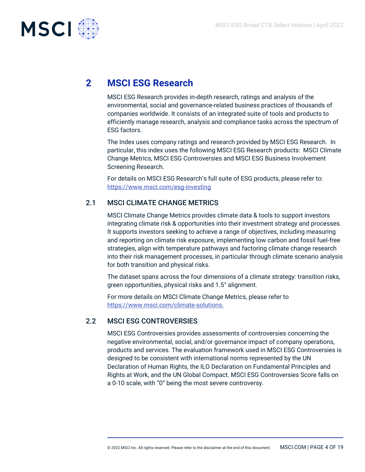

# **2 MSCI ESG Research**

MSCI ESG Research provides in-depth research, ratings and analysis of the environmental, social and governance-related business practices of thousands of companies worldwide. It consists of an integrated suite of tools and products to efficiently manage research, analysis and compliance tasks across the spectrum of ESG factors.

The Index uses company ratings and research provided by MSCI ESG Research. In particular, this index uses the following MSCI ESG Research products: MSCI Climate Change Metrics, MSCI ESG Controversies and MSCI ESG Business Involvement Screening Research.

For details on MSCI ESG Research's full suite of ESG products, please refer to: <https://www.msci.com/esg-investing>

### 2.1 MSCI CLIMATE CHANGE METRICS

MSCI Climate Change Metrics provides climate data & tools to support investors integrating climate risk & opportunities into their investment strategy and processes. It supports investors seeking to achieve a range of objectives, including measuring and reporting on climate risk exposure, implementing low carbon and fossil fuel-free strategies, align with temperature pathways and factoring climate change research into their risk management processes, in particular through climate scenario analysis for both transition and physical risks.

The dataset spans across the four dimensions of a climate strategy: transition risks, green opportunities, physical risks and 1.5° alignment.

For more details on MSCI Climate Change Metrics, please refer to [https://www.msci.com/climate-solutions.](https://www.msci.com/climate-solutions)

## 2.2 MSCI ESG CONTROVERSIES

MSCI ESG Controversies provides assessments of controversies concerning the negative environmental, social, and/or governance impact of company operations, products and services. The evaluation framework used in MSCI ESG Controversies is designed to be consistent with international norms represented by the UN Declaration of Human Rights, the ILO Declaration on Fundamental Principles and Rights at Work, and the UN Global Compact. MSCI ESG Controversies Score falls on a 0-10 scale, with "0" being the most severe controversy.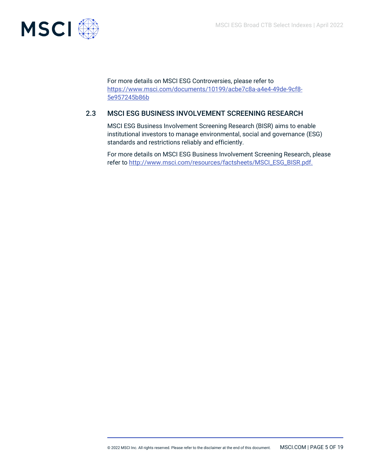

For more details on MSCI ESG Controversies, please refer to [https://www.msci.com/documents/10199/acbe7c8a-a4e4-49de-9cf8-](https://www.msci.com/documents/10199/acbe7c8a-a4e4-49de-9cf8-5e957245b86b) [5e957245b86b](https://www.msci.com/documents/10199/acbe7c8a-a4e4-49de-9cf8-5e957245b86b)

# 2.3 MSCI ESG BUSINESS INVOLVEMENT SCREENING RESEARCH

MSCI ESG Business Involvement Screening Research (BISR) aims to enable institutional investors to manage environmental, social and governance (ESG) standards and restrictions reliably and efficiently.

For more details on MSCI ESG Business Involvement Screening Research, please refer to [http://www.msci.com/resources/factsheets/MSCI\\_ESG\\_BISR.pdf.](http://www.msci.com/resources/factsheets/MSCI_ESG_BISR.pdf)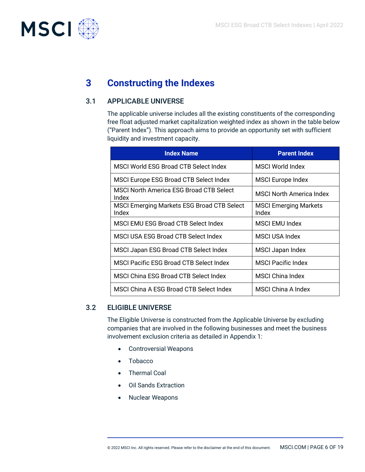

# **3 Constructing the Indexes**

## 3.1 APPLICABLE UNIVERSE

The applicable universe includes all the existing constituents of the corresponding free float adjusted market capitalization weighted index as shown in the table below ("Parent Index"). This approach aims to provide an opportunity set with sufficient liquidity and investment capacity.

| <b>Index Name</b>                                   | <b>Parent Index</b>                   |
|-----------------------------------------------------|---------------------------------------|
| MSCI World ESG Broad CTB Select Index               | MSCI World Index                      |
| MSCI Europe ESG Broad CTB Select Index              | <b>MSCI Europe Index</b>              |
| MSCI North America ESG Broad CTB Select<br>Index    | <b>MSCI North America Index</b>       |
| MSCI Emerging Markets ESG Broad CTB Select<br>Index | <b>MSCI Emerging Markets</b><br>Index |
| MSCI EMU ESG Broad CTB Select Index                 | MSCLEMU Index                         |
| MSCI USA ESG Broad CTB Select Index                 | MSCI USA Index                        |
| MSCI Japan ESG Broad CTB Select Index               | MSCI Japan Index                      |
| MSCI Pacific ESG Broad CTB Select Index             | <b>MSCI Pacific Index</b>             |
| MSCI China ESG Broad CTB Select Index               | <b>MSCI China Index</b>               |
| MSCI China A ESG Broad CTB Select Index             | MSCLChina A Index                     |

### 3.2 ELIGIBLE UNIVERSE

The Eligible Universe is constructed from the Applicable Universe by excluding companies that are involved in the following businesses and meet the business involvement exclusion criteria as detailed in Appendix 1:

- Controversial Weapons
- Tobacco
- Thermal Coal
- Oil Sands Extraction
- Nuclear Weapons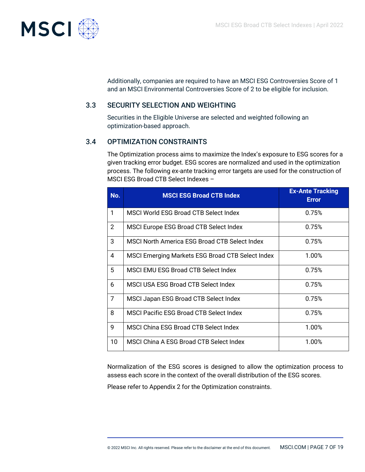

Additionally, companies are required to have an MSCI ESG Controversies Score of 1 and an MSCI Environmental Controversies Score of 2 to be eligible for inclusion.

## 3.3 SECURITY SELECTION AND WEIGHTING

Securities in the Eligible Universe are selected and weighted following an optimization-based approach.

## 3.4 OPTIMIZATION CONSTRAINTS

The Optimization process aims to maximize the Index's exposure to ESG scores for a given tracking error budget. ESG scores are normalized and used in the optimization process. The following ex-ante tracking error targets are used for the construction of MSCI ESG Broad CTB Select Indexes –

| No.            | <b>MSCI ESG Broad CTB Index</b>                  | <b>Ex-Ante Tracking</b><br><b>Error</b> |
|----------------|--------------------------------------------------|-----------------------------------------|
| 1              | MSCI World ESG Broad CTB Select Index            | 0.75%                                   |
| $\overline{2}$ | MSCI Europe ESG Broad CTB Select Index           | 0.75%                                   |
| 3              | MSCI North America ESG Broad CTB Select Index    | 0.75%                                   |
| 4              | MSCI Emerging Markets ESG Broad CTB Select Index | 1.00%                                   |
| 5              | MSCI EMU ESG Broad CTB Select Index              | 0.75%                                   |
| 6              | MSCI USA ESG Broad CTB Select Index              | 0.75%                                   |
| $\overline{7}$ | MSCI Japan ESG Broad CTB Select Index            | 0.75%                                   |
| 8              | <b>MSCI Pacific ESG Broad CTB Select Index</b>   | 0.75%                                   |
| $\overline{9}$ | MSCI China ESG Broad CTB Select Index            | 1.00%                                   |
| 10             | MSCI China A ESG Broad CTB Select Index          | 1.00%                                   |

Normalization of the ESG scores is designed to allow the optimization process to assess each score in the context of the overall distribution of the ESG scores.

Please refer to Appendix 2 for the Optimization constraints.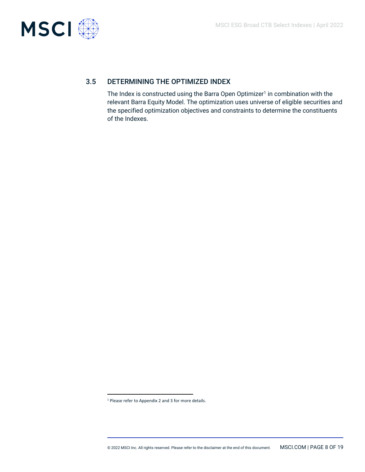

# 3.5 DETERMINING THE OPTIMIZED INDEX

The Index is constructed using the Barra Open Optimizer<sup>1</sup> in combination with the relevant Barra Equity Model. The optimization uses universe of eligible securities and the specified optimization objectives and constraints to determine the constituents of the Indexes.

<sup>1</sup> Please refer to Appendix 2 and 3 for more details.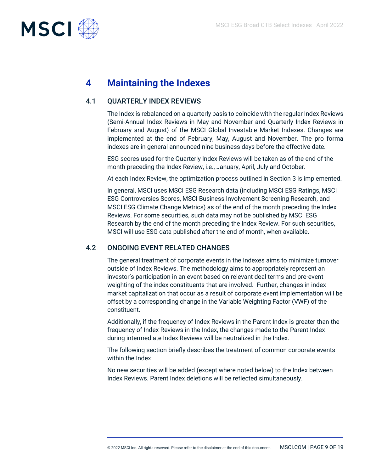

# **4 Maintaining the Indexes**

### 4.1 QUARTERLY INDEX REVIEWS

The Index is rebalanced on a quarterly basis to coincide with the regular Index Reviews (Semi-Annual Index Reviews in May and November and Quarterly Index Reviews in February and August) of the MSCI Global Investable Market Indexes. Changes are implemented at the end of February, May, August and November. The pro forma indexes are in general announced nine business days before the effective date.

ESG scores used for the Quarterly Index Reviews will be taken as of the end of the month preceding the Index Review, i.e., January, April, July and October.

At each Index Review, the optimization process outlined in Section 3 is implemented.

In general, MSCI uses MSCI ESG Research data (including MSCI ESG Ratings, MSCI ESG Controversies Scores, MSCI Business Involvement Screening Research, and MSCI ESG Climate Change Metrics) as of the end of the month preceding the Index Reviews. For some securities, such data may not be published by MSCI ESG Research by the end of the month preceding the Index Review. For such securities, MSCI will use ESG data published after the end of month, when available.

### 4.2 ONGOING EVENT RELATED CHANGES

The general treatment of corporate events in the Indexes aims to minimize turnover outside of Index Reviews. The methodology aims to appropriately represent an investor's participation in an event based on relevant deal terms and pre-event weighting of the index constituents that are involved. Further, changes in index market capitalization that occur as a result of corporate event implementation will be offset by a corresponding change in the Variable Weighting Factor (VWF) of the constituent.

Additionally, if the frequency of Index Reviews in the Parent Index is greater than the frequency of Index Reviews in the Index, the changes made to the Parent Index during intermediate Index Reviews will be neutralized in the Index.

The following section briefly describes the treatment of common corporate events within the Index.

No new securities will be added (except where noted below) to the Index between Index Reviews. Parent Index deletions will be reflected simultaneously.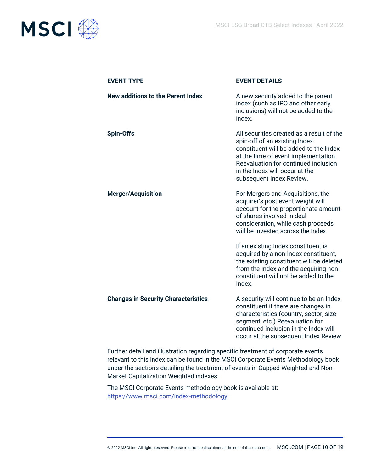

| <b>EVENT TYPE</b>                          | <b>EVENT DETAILS</b>                                                                                                                                                                                                                                               |
|--------------------------------------------|--------------------------------------------------------------------------------------------------------------------------------------------------------------------------------------------------------------------------------------------------------------------|
| <b>New additions to the Parent Index</b>   | A new security added to the parent<br>index (such as IPO and other early<br>inclusions) will not be added to the<br>index.                                                                                                                                         |
| <b>Spin-Offs</b>                           | All securities created as a result of the<br>spin-off of an existing Index<br>constituent will be added to the Index<br>at the time of event implementation.<br>Reevaluation for continued inclusion<br>in the Index will occur at the<br>subsequent Index Review. |
| <b>Merger/Acquisition</b>                  | For Mergers and Acquisitions, the<br>acquirer's post event weight will<br>account for the proportionate amount<br>of shares involved in deal<br>consideration, while cash proceeds<br>will be invested across the Index.                                           |
|                                            | If an existing Index constituent is<br>acquired by a non-Index constituent,<br>the existing constituent will be deleted<br>from the Index and the acquiring non-<br>constituent will not be added to the<br>Index.                                                 |
| <b>Changes in Security Characteristics</b> | A security will continue to be an Index<br>constituent if there are changes in<br>characteristics (country, sector, size<br>segment, etc.) Reevaluation for<br>continued inclusion in the Index will<br>occur at the subsequent Index Review.                      |

Further detail and illustration regarding specific treatment of corporate events relevant to this Index can be found in the MSCI Corporate Events Methodology book under the sections detailing the treatment of events in Capped Weighted and Non-Market Capitalization Weighted indexes.

The MSCI Corporate Events methodology book is available at: <https://www.msci.com/index-methodology>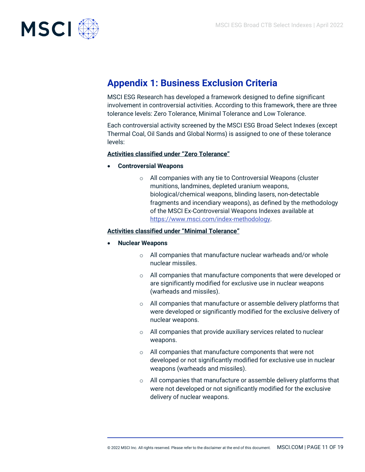

# **Appendix 1: Business Exclusion Criteria**

MSCI ESG Research has developed a framework designed to define significant involvement in controversial activities. According to this framework, there are three tolerance levels: Zero Tolerance, Minimal Tolerance and Low Tolerance.

Each controversial activity screened by the MSCI ESG Broad Select Indexes (except Thermal Coal, Oil Sands and Global Norms) is assigned to one of these tolerance levels:

#### **Activities classified under "Zero Tolerance"**

- **Controversial Weapons**
	- o All companies with any tie to Controversial Weapons (cluster munitions, landmines, depleted uranium weapons, biological/chemical weapons, blinding lasers, non-detectable fragments and incendiary weapons), as defined by the methodology of the MSCI Ex-Controversial Weapons Indexes available at [https://www.msci.com/index-methodology.](https://www.msci.com/index-methodology)

#### **Activities classified under "Minimal Tolerance"**

#### • **Nuclear Weapons**

- o All companies that manufacture nuclear warheads and/or whole nuclear missiles.
- o All companies that manufacture components that were developed or are significantly modified for exclusive use in nuclear weapons (warheads and missiles).
- o All companies that manufacture or assemble delivery platforms that were developed or significantly modified for the exclusive delivery of nuclear weapons.
- $\circ$  All companies that provide auxiliary services related to nuclear weapons.
- o All companies that manufacture components that were not developed or not significantly modified for exclusive use in nuclear weapons (warheads and missiles).
- o All companies that manufacture or assemble delivery platforms that were not developed or not significantly modified for the exclusive delivery of nuclear weapons.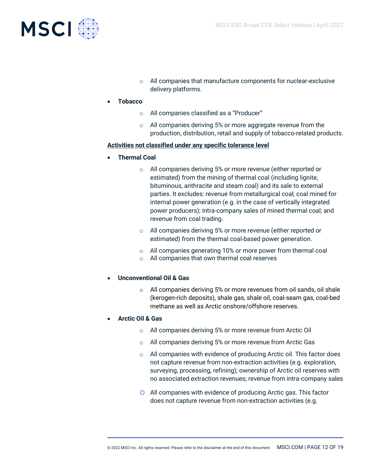

- o All companies that manufacture components for nuclear-exclusive delivery platforms.
- **Tobacco** 
	- o All companies classified as a "Producer"
	- o All companies deriving 5% or more aggregate revenue from the production, distribution, retail and supply of tobacco-related products.

#### **Activities not classified under any specific tolerance level**

- **Thermal Coal** 
	- o All companies deriving 5% or more revenue (either reported or estimated) from the mining of thermal coal (including lignite, bituminous, anthracite and steam coal) and its sale to external parties. It excludes: revenue from metallurgical coal; coal mined for internal power generation (e.g. in the case of vertically integrated power producers); intra-company sales of mined thermal coal; and revenue from coal trading.
	- o All companies deriving 5% or more revenue (either reported or estimated) from the thermal coal-based power generation.
	- o All companies generating 10% or more power from thermal coal
	- o All companies that own thermal coal reserves

#### • **Unconventional Oil & Gas**

o All companies deriving 5% or more revenues from oil sands, oil shale (kerogen-rich deposits), shale gas, shale oil, coal-seam gas, coal-bed methane as well as Arctic onshore/offshore reserves.

#### • **Arctic Oil & Gas**

- o All companies deriving 5% or more revenue from Arctic Oil
- o All companies deriving 5% or more revenue from Arctic Gas
- o All companies with evidence of producing Arctic oil. This factor does not capture revenue from non-extraction activities (e.g. exploration, surveying, processing, refining); ownership of Arctic oil reserves with no associated extraction revenues; revenue from intra-company sales
- o All companies with evidence of producing Arctic gas. This factor does not capture revenue from non-extraction activities (e.g.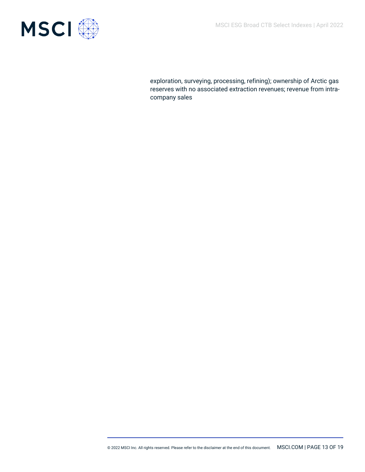

exploration, surveying, processing, refining); ownership of Arctic gas reserves with no associated extraction revenues; revenue from intracompany sales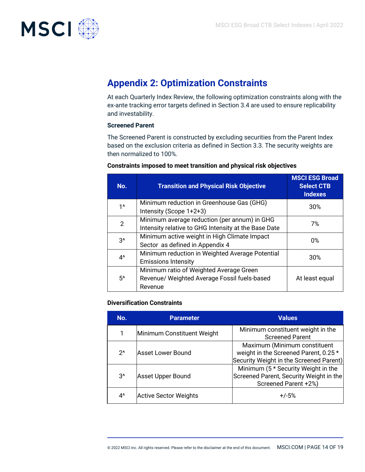

# **Appendix 2: Optimization Constraints**

At each Quarterly Index Review, the following optimization constraints along with the ex-ante tracking error targets defined in Section 3.4 are used to ensure replicability and investability.

#### **Screened Parent**

The Screened Parent is constructed by excluding securities from the Parent Index based on the exclusion criteria as defined in Section 3.3. The security weights are then normalized to 100%.

| No.            | <b>Transition and Physical Risk Objective</b>                                                        | <b>MSCI ESG Broad</b><br><b>Select CTB</b><br><b>Indexes</b> |
|----------------|------------------------------------------------------------------------------------------------------|--------------------------------------------------------------|
| $1^{\prime}$   | Minimum reduction in Greenhouse Gas (GHG)<br>Intensity (Scope 1+2+3)                                 | 30%                                                          |
| $\overline{2}$ | Minimum average reduction (per annum) in GHG<br>Intensity relative to GHG Intensity at the Base Date | 7%                                                           |
| $3^{\prime}$   | Minimum active weight in High Climate Impact<br>Sector as defined in Appendix 4                      | 0%                                                           |
| $4^{\wedge}$   | Minimum reduction in Weighted Average Potential<br><b>Emissions Intensity</b>                        | 30%                                                          |
| $5^{\prime}$   | Minimum ratio of Weighted Average Green<br>Revenue/ Weighted Average Fossil fuels-based<br>Revenue   | At least equal                                               |

#### **Constraints imposed to meet transition and physical risk objectives**

#### **Diversification Constraints**

| No.           | <b>Parameter</b>           | <b>Values</b>                                                                                                    |
|---------------|----------------------------|------------------------------------------------------------------------------------------------------------------|
|               | Minimum Constituent Weight | Minimum constituent weight in the<br><b>Screened Parent</b>                                                      |
| $2^{\lambda}$ | Asset Lower Bound          | Maximum (Minimum constituent<br>weight in the Screened Parent, 0.25 *<br>Security Weight in the Screened Parent) |
| $3^{\prime}$  | Asset Upper Bound          | Minimum (5 * Security Weight in the<br>Screened Parent, Security Weight in the<br>Screened Parent +2%)           |
| 4^            | Active Sector Weights      | $+/-5%$                                                                                                          |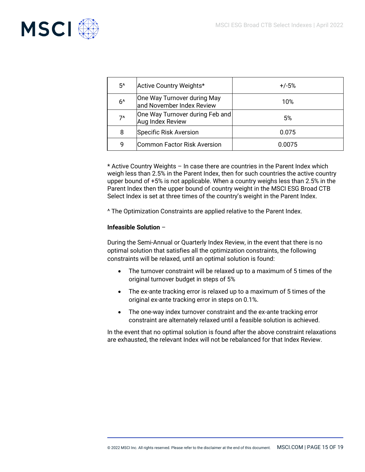

| 5^   | Active Country Weights*                                  | $+/-5%$ |
|------|----------------------------------------------------------|---------|
| $6^$ | One Way Turnover during May<br>and November Index Review | 10%     |
| $7^$ | One Way Turnover during Feb and<br>Aug Index Review      | 5%      |
| 8    | Specific Risk Aversion                                   | 0.075   |
| 9    | Common Factor Risk Aversion                              | 0.0075  |

\* Active Country Weights – In case there are countries in the Parent Index which weigh less than 2.5% in the Parent Index, then for such countries the active country upper bound of +5% is not applicable. When a country weighs less than 2.5% in the Parent Index then the upper bound of country weight in the MSCI ESG Broad CTB Select Index is set at three times of the country's weight in the Parent Index.

^ The Optimization Constraints are applied relative to the Parent Index.

#### **Infeasible Solution** –

During the Semi-Annual or Quarterly Index Review, in the event that there is no optimal solution that satisfies all the optimization constraints, the following constraints will be relaxed, until an optimal solution is found:

- The turnover constraint will be relaxed up to a maximum of 5 times of the original turnover budget in steps of 5%
- The ex-ante tracking error is relaxed up to a maximum of 5 times of the original ex-ante tracking error in steps on 0.1%.
- The one-way index turnover constraint and the ex-ante tracking error constraint are alternately relaxed until a feasible solution is achieved.

In the event that no optimal solution is found after the above constraint relaxations are exhausted, the relevant Index will not be rebalanced for that Index Review.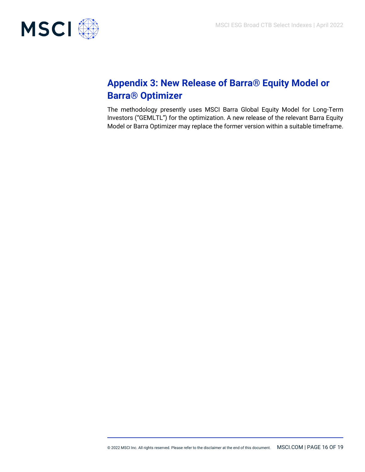

# **Appendix 3: New Release of Barra® Equity Model or Barra® Optimizer**

The methodology presently uses MSCI Barra Global Equity Model for Long-Term Investors ("GEMLTL") for the optimization. A new release of the relevant Barra Equity Model or Barra Optimizer may replace the former version within a suitable timeframe.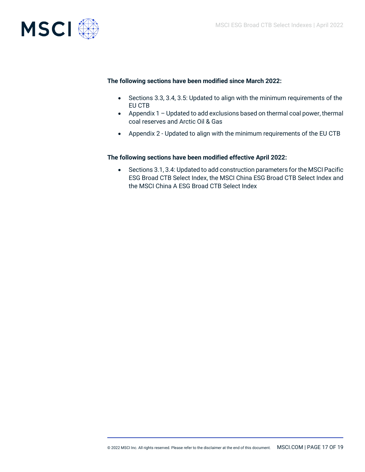

#### **The following sections have been modified since March 2022:**

- Sections 3.3, 3.4, 3.5: Updated to align with the minimum requirements of the EU CTB
- Appendix 1 Updated to add exclusions based on thermal coal power, thermal coal reserves and Arctic Oil & Gas
- Appendix 2 Updated to align with the minimum requirements of the EU CTB

#### **The following sections have been modified effective April 2022:**

• Sections 3.1, 3.4: Updated to add construction parameters for the MSCI Pacific ESG Broad CTB Select Index, the MSCI China ESG Broad CTB Select Index and the MSCI China A ESG Broad CTB Select Index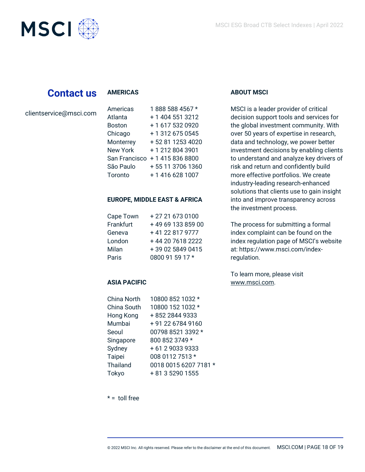

# **Contact us**

#### **AMERICAS**

| clientservice@msci.com |  |
|------------------------|--|
|------------------------|--|

| Americas        | 1888 588 4567 *  |
|-----------------|------------------|
| Atlanta         | + 1 404 551 3212 |
| <b>Boston</b>   | +1 617 532 0920  |
| Chicago         | + 1 312 675 0545 |
| Monterrey       | +52 81 1253 4020 |
| <b>New York</b> | +12128043901     |
| San Francisco   | +14158368800     |
| São Paulo       | +55 11 3706 1360 |
| Toronto         | +1 416 628 1007  |

#### **EUROPE, MIDDLE EAST & AFRICA**

| Cape Town | +27 21 673 0100   |
|-----------|-------------------|
| Frankfurt | +49 69 133 859 00 |
| Geneva    | +41 22 817 9777   |
| London    | +44 20 7618 2222  |
| Milan     | +39 02 5849 0415  |
| Paris     | 0800 91 59 17 *   |

### **ASIA PACIFIC**

| <b>China North</b> | 10800 852 1032 *      |
|--------------------|-----------------------|
| China South        | 10800 152 1032 *      |
| Hong Kong          | +852 2844 9333        |
| Mumbai             | +91 22 6784 9160      |
| Seoul              | 00798 8521 3392 *     |
| Singapore          | 800 852 3749 *        |
| Sydney             | +61 290339333         |
| Taipei             | 008 0112 7513 *       |
| Thailand           | 0018 0015 6207 7181 * |
| Tokyo              | + 81 3 5290 1555      |
|                    |                       |

### **ABOUT MSCI**

MSCI is a leader provider of critical decision support tools and services for the global investment community. With over 50 years of expertise in research, data and technology, we power better investment decisions by enabling clients to understand and analyze key drivers of risk and return and confidently build more effective portfolios. We create industry-leading research-enhanced solutions that clients use to gain insight into and improve transparency across the investment process.

The process for submitting a formal index complaint can be found on the index regulation page of MSCI's website at: https://www.msci.com/indexregulation.

To learn more, please visit [www.msci.com.](https://www.msci.com/)

 $* =$  toll free